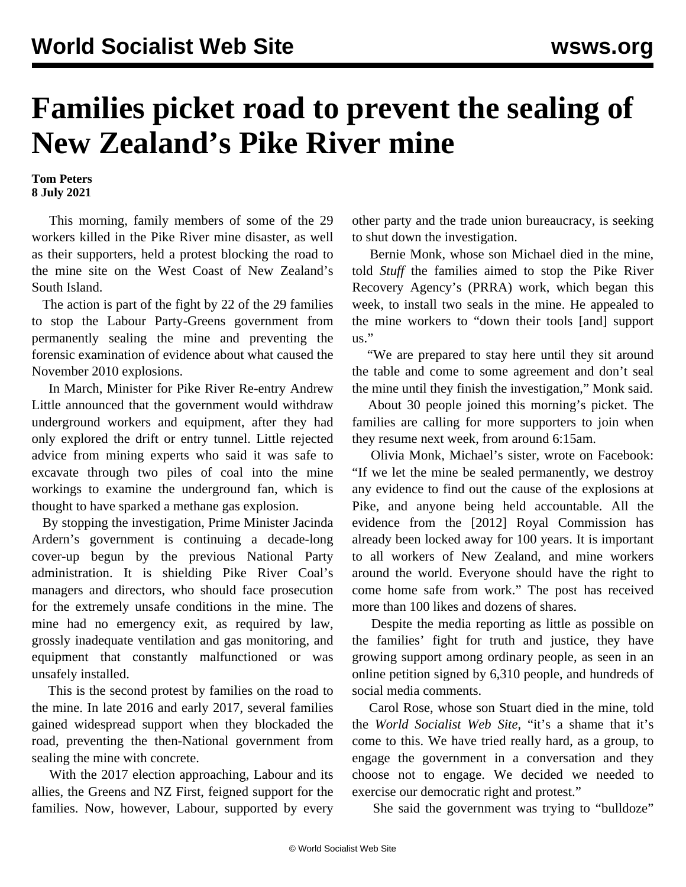## **Families picket road to prevent the sealing of New Zealand's Pike River mine**

**Tom Peters 8 July 2021**

 This morning, family members of some of the 29 workers killed in the Pike River mine disaster, as well as their supporters, held a protest blocking the road to the mine site on the West Coast of New Zealand's South Island.

 The action is part of the fight by 22 of the 29 families to stop the Labour Party-Greens government from permanently sealing the mine and preventing the forensic examination of evidence about what caused the November 2010 explosions.

 In March, Minister for Pike River Re-entry Andrew Little announced that the government would withdraw underground workers and equipment, after they had only explored the drift or entry tunnel. Little [rejected](/en/articles/2021/06/04/pike-j04.html) advice from mining experts who said it was safe to excavate through two piles of coal into the mine workings to examine the underground fan, which is thought to have sparked a methane gas explosion.

 By stopping the investigation, Prime Minister Jacinda Ardern's government is continuing a decade-long cover-up begun by the previous National Party administration. It is shielding Pike River Coal's managers and directors, who should face prosecution for the extremely unsafe conditions in the mine. The mine had no emergency exit, as required by law, grossly inadequate ventilation and gas monitoring, and equipment that constantly malfunctioned or was unsafely installed.

 This is the second protest by families on the road to the mine. In late 2016 and early 2017, several families gained widespread support when they [blockaded](/en/articles/2016/12/23/bloc-d23.html) the road, preventing the then-National government from sealing the mine with concrete.

 With the 2017 election approaching, Labour and its allies, the Greens and NZ First, [feigned](/en/articles/2017/01/26/prco-j26.html) support for the families. Now, however, Labour, supported by every other party and the trade union bureaucracy, is seeking to shut down the investigation.

 Bernie Monk, whose son Michael died in the mine, told *Stuff* the families aimed to stop the Pike River Recovery Agency's (PRRA) work, which began this week, to install two seals in the mine. He appealed to the mine workers to "down their tools [and] support us."

 "We are prepared to stay here until they sit around the table and come to some agreement and don't seal the mine until they finish the investigation," Monk said.

 About 30 people joined this morning's picket. The families are calling for more supporters to join when they resume next week, from around 6:15am.

 Olivia Monk, Michael's sister, wrote on [Facebook](https://www.facebook.com/olivia.monk.16/posts/10158091901175840): "If we let the mine be sealed permanently, we destroy any evidence to find out the cause of the explosions at Pike, and anyone being held accountable. All the evidence from the [2012] Royal Commission has already been locked away for 100 years. It is important to all workers of New Zealand, and mine workers around the world. Everyone should have the right to come home safe from work." The post has received more than 100 likes and dozens of shares.

 Despite the media reporting as little as possible on the families' fight for truth and justice, they have growing support among ordinary people, as seen in an online [petition](https://www.change.org/p/prime-minister-help-stop-critical-evidence-in-pike-river-mine-from-being-locked-away-for-ever) signed by 6,310 people, and hundreds of social media comments.

 Carol Rose, whose son Stuart died in the mine, told the *World Socialist Web Site*, "it's a shame that it's come to this. We have tried really hard, as a group, to engage the government in a conversation and they choose not to engage. We decided we needed to exercise our democratic right and protest."

She said the government was trying to "bulldoze"